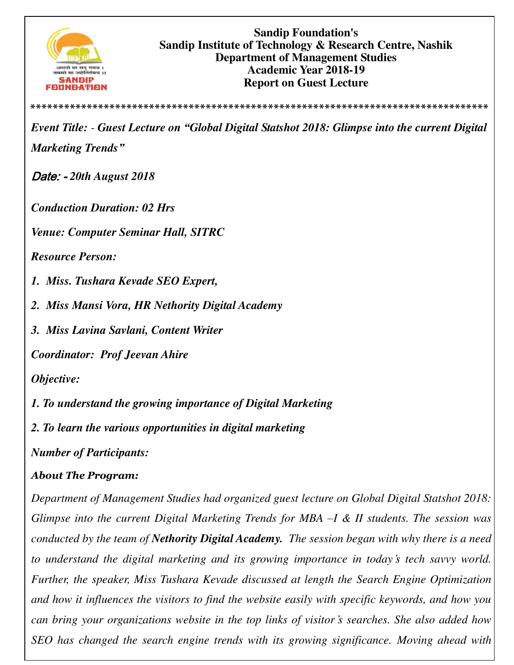

*Event Title: - Guest Lecture on "Global Digital Statshot 2018: Glimpse into the current Digital Marketing Trends"*

**\*\*\*\*\*\*\*\*\*\*\*\*\*\*\*\*\*\*\*\*\*\*\*\*\*\*\*\*\*\*\*\*\*\*\*\*\*\*\*\*\*\*\*\*\*\*\*\*\*\*\*\*\*\*\*\*\*\*\*\*\*\*\*\*\*\*\*\*\*\*\*\*\*\*\*\*\*\*\*\*\***

Date: - *20th August 2018*

*Conduction Duration: 02 Hrs* 

*Venue: Computer Seminar Hall, SITRC* 

*Resource Person:* 

*1. Miss. Tushara Kevade SEO Expert,* 

*2. Miss Mansi Vora, HR Nethority Digital Academy* 

*3. Miss Lavina Savlani, Content Writer* 

*Coordinator: Prof Jeevan Ahire* 

*Objective:* 

*1. To understand the growing importance of Digital Marketing* 

*2. To learn the various opportunities in digital marketing* 

*Number of Participants:* 

## *About The Program:*

*Department of Management Studies had organized guest lecture on Global Digital Statshot 2018: Glimpse into the current Digital Marketing Trends for MBA –I & II students. The session was conducted by the team of Nethority Digital Academy. The session began with why there is a need to understand the digital marketing and its growing importance in today's tech savvy world. Further, the speaker, Miss Tushara Kevade discussed at length the Search Engine Optimization and how it influences the visitors to find the website easily with specific keywords, and how you can bring your organizations website in the top links of visitor's searches. She also added how SEO has changed the search engine trends with its growing significance. Moving ahead with*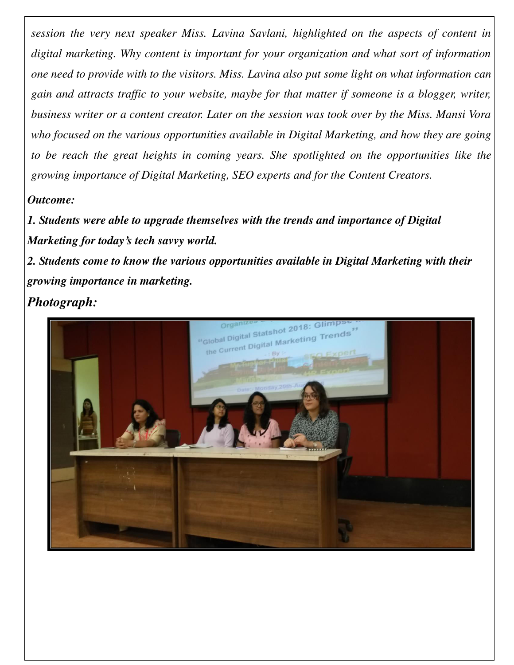*session the very next speaker Miss. Lavina Savlani, highlighted on the aspects of content in digital marketing. Why content is important for your organization and what sort of information one need to provide with to the visitors. Miss. Lavina also put some light on what information can gain and attracts traffic to your website, maybe for that matter if someone is a blogger, writer, business writer or a content creator. Later on the session was took over by the Miss. Mansi Vora who focused on the various opportunities available in Digital Marketing, and how they are going to be reach the great heights in coming years. She spotlighted on the opportunities like the growing importance of Digital Marketing, SEO experts and for the Content Creators.* 

## *Outcome:*

*1. Students were able to upgrade themselves with the trends and importance of Digital Marketing for today's tech savvy world.* 

*2. Students come to know the various opportunities available in Digital Marketing with their growing importance in marketing.* 

## *Photograph:*

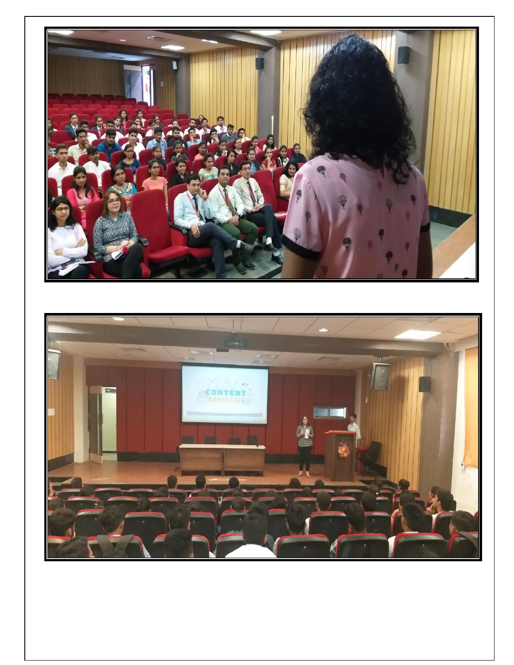